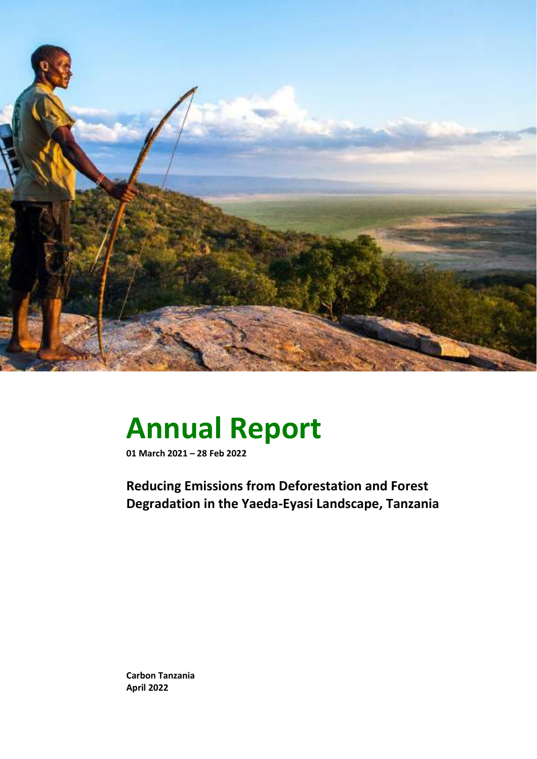

# **Annual Report**

**01 March 2021 – 28 Feb 2022**

**Reducing Emissions from Deforestation and Forest Degradation in the Yaeda-Eyasi Landscape, Tanzania**

**Carbon Tanzania April 2022**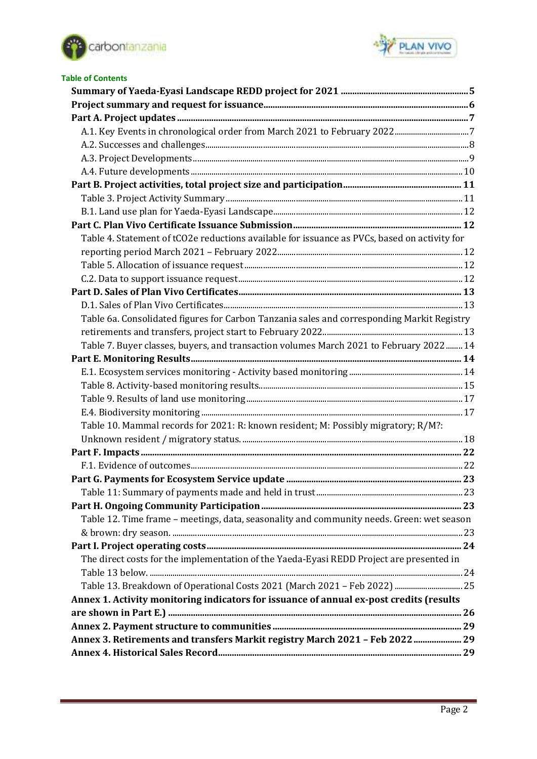



| <b>Table of Contents</b>                                                                     |  |
|----------------------------------------------------------------------------------------------|--|
|                                                                                              |  |
|                                                                                              |  |
|                                                                                              |  |
|                                                                                              |  |
|                                                                                              |  |
|                                                                                              |  |
|                                                                                              |  |
|                                                                                              |  |
|                                                                                              |  |
|                                                                                              |  |
|                                                                                              |  |
| Table 4. Statement of tCO2e reductions available for issuance as PVCs, based on activity for |  |
|                                                                                              |  |
|                                                                                              |  |
|                                                                                              |  |
|                                                                                              |  |
|                                                                                              |  |
| Table 6a. Consolidated figures for Carbon Tanzania sales and corresponding Markit Registry   |  |
|                                                                                              |  |
| Table 7. Buyer classes, buyers, and transaction volumes March 2021 to February 2022 14       |  |
|                                                                                              |  |
|                                                                                              |  |
|                                                                                              |  |
|                                                                                              |  |
|                                                                                              |  |
| Table 10. Mammal records for 2021: R: known resident; M: Possibly migratory; R/M?:           |  |
|                                                                                              |  |
|                                                                                              |  |
|                                                                                              |  |
|                                                                                              |  |
|                                                                                              |  |
|                                                                                              |  |
| Table 12. Time frame - meetings, data, seasonality and community needs. Green: wet season    |  |
|                                                                                              |  |
|                                                                                              |  |
| The direct costs for the implementation of the Yaeda-Eyasi REDD Project are presented in     |  |
|                                                                                              |  |
|                                                                                              |  |
| Annex 1. Activity monitoring indicators for issuance of annual ex-post credits (results      |  |
|                                                                                              |  |
|                                                                                              |  |
| Annex 3. Retirements and transfers Markit registry March 2021 - Feb 2022  29                 |  |
|                                                                                              |  |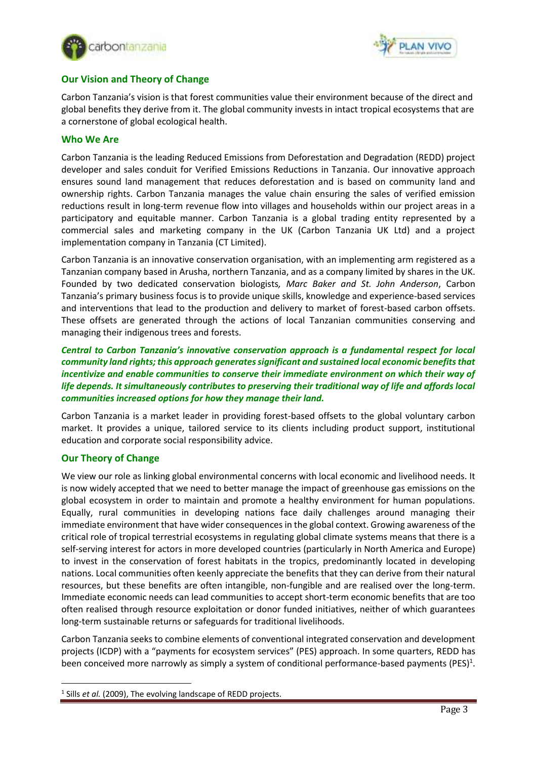



## **Our Vision and Theory of Change**

Carbon Tanzania's vision is that forest communities value their environment because of the direct and global benefits they derive from it. The global community invests in intact tropical ecosystems that are a cornerstone of global ecological health.

#### **Who We Are**

Carbon Tanzania is the leading Reduced Emissions from Deforestation and Degradation (REDD) project developer and sales conduit for Verified Emissions Reductions in Tanzania. Our innovative approach ensures sound land management that reduces deforestation and is based on community land and ownership rights. Carbon Tanzania manages the value chain ensuring the sales of verified emission reductions result in long-term revenue flow into villages and households within our project areas in a participatory and equitable manner. Carbon Tanzania is a global trading entity represented by a commercial sales and marketing company in the UK (Carbon Tanzania UK Ltd) and a project implementation company in Tanzania (CT Limited).

Carbon Tanzania is an innovative conservation organisation, with an implementing arm registered as a Tanzanian company based in Arusha, northern Tanzania, and as a company limited by shares in the UK. Founded by two dedicated conservation biologists*, Marc Baker and St. John Anderson*, Carbon Tanzania's primary business focus is to provide unique skills, knowledge and experience-based services and interventions that lead to the production and delivery to market of forest-based carbon offsets. These offsets are generated through the actions of local Tanzanian communities conserving and managing their indigenous trees and forests.

*Central to Carbon Tanzania's innovative conservation approach is a fundamental respect for local community land rights; this approach generates significant and sustained local economic benefits that incentivize and enable communities to conserve their immediate environment on which their way of life depends. It simultaneously contributes to preserving their traditional way of life and affords local communities increased options for how they manage their land.*

Carbon Tanzania is a market leader in providing forest-based offsets to the global voluntary carbon market. It provides a unique, tailored service to its clients including product support, institutional education and corporate social responsibility advice.

#### **Our Theory of Change**

We view our role as linking global environmental concerns with local economic and livelihood needs. It is now widely accepted that we need to better manage the impact of greenhouse gas emissions on the global ecosystem in order to maintain and promote a healthy environment for human populations. Equally, rural communities in developing nations face daily challenges around managing their immediate environment that have wider consequences in the global context. Growing awareness of the critical role of tropical terrestrial ecosystems in regulating global climate systems means that there is a self-serving interest for actors in more developed countries (particularly in North America and Europe) to invest in the conservation of forest habitats in the tropics, predominantly located in developing nations. Local communities often keenly appreciate the benefits that they can derive from their natural resources, but these benefits are often intangible, non-fungible and are realised over the long-term. Immediate economic needs can lead communities to accept short-term economic benefits that are too often realised through resource exploitation or donor funded initiatives, neither of which guarantees long-term sustainable returns or safeguards for traditional livelihoods.

Carbon Tanzania seeks to combine elements of conventional integrated conservation and development projects (ICDP) with a "payments for ecosystem services" (PES) approach. In some quarters, REDD has been conceived more narrowly as simply a system of conditional performance-based payments (PES)<sup>1</sup>.

<sup>&</sup>lt;sup>1</sup> Sills *et al.* (2009), The evolving landscape of REDD projects.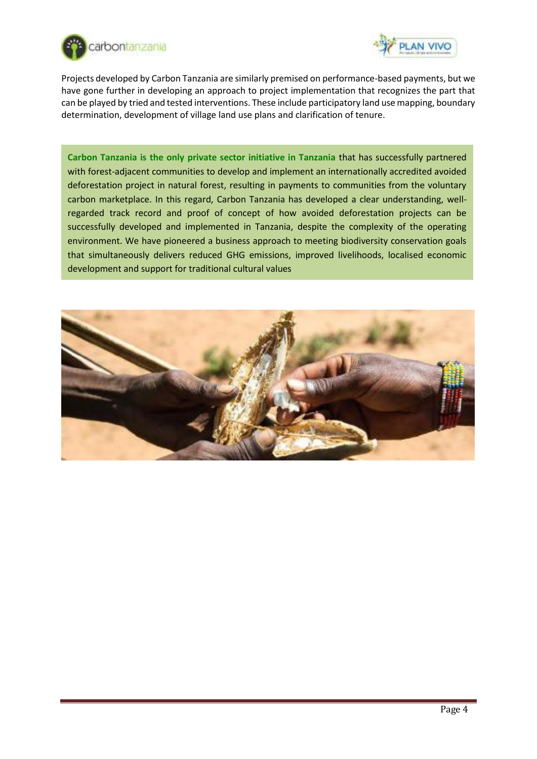



Projects developed by Carbon Tanzania are similarly premised on performance-based payments, but we have gone further in developing an approach to project implementation that recognizes the part that can be played by tried and tested interventions. These include participatory land use mapping, boundary determination, development of village land use plans and clarification of tenure.

**Carbon Tanzania is the only private sector initiative in Tanzania** that has successfully partnered with forest-adjacent communities to develop and implement an internationally accredited avoided deforestation project in natural forest, resulting in payments to communities from the voluntary carbon marketplace. In this regard, Carbon Tanzania has developed a clear understanding, wellregarded track record and proof of concept of how avoided deforestation projects can be successfully developed and implemented in Tanzania, despite the complexity of the operating environment. We have pioneered a business approach to meeting biodiversity conservation goals that simultaneously delivers reduced GHG emissions, improved livelihoods, localised economic development and support for traditional cultural values

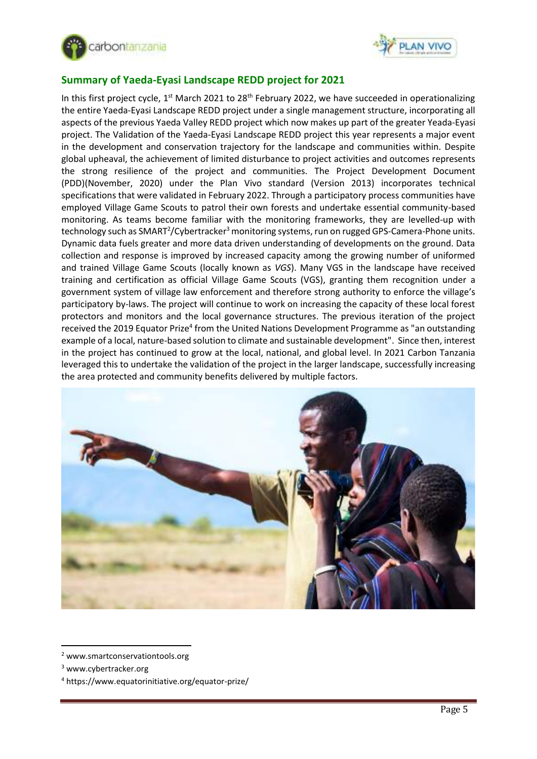



# <span id="page-4-0"></span>**Summary of Yaeda-Eyasi Landscape REDD project for 2021**

In this first project cycle, 1<sup>st</sup> March 2021 to 28<sup>th</sup> February 2022, we have succeeded in operationalizing the entire Yaeda-Eyasi Landscape REDD project under a single management structure, incorporating all aspects of the previous Yaeda Valley REDD project which now makes up part of the greater Yeada-Eyasi project. The Validation of the Yaeda-Eyasi Landscape REDD project this year represents a major event in the development and conservation trajectory for the landscape and communities within. Despite global upheaval, the achievement of limited disturbance to project activities and outcomes represents the strong resilience of the project and communities. The Project Development Document (PDD)(November, 2020) under the Plan Vivo standard (Version 2013) incorporates technical specifications that were validated in February 2022. Through a participatory process communities have employed Village Game Scouts to patrol their own forests and undertake essential community-based monitoring. As teams become familiar with the monitoring frameworks, they are levelled-up with technology such as SMART<sup>2</sup>/Cybertracker<sup>3</sup> monitoring systems, run on rugged GPS-Camera-Phone units. Dynamic data fuels greater and more data driven understanding of developments on the ground. Data collection and response is improved by increased capacity among the growing number of uniformed and trained Village Game Scouts (locally known as *VGS*). Many VGS in the landscape have received training and certification as official Village Game Scouts (VGS), granting them recognition under a government system of village law enforcement and therefore strong authority to enforce the village's participatory by-laws. The project will continue to work on increasing the capacity of these local forest protectors and monitors and the local governance structures. The previous iteration of the project received the 2019 Equator Prize<sup>4</sup> from the United Nations Development Programme as "an outstanding example of a local, nature-based solution to climate and sustainable development". Since then, interest in the project has continued to grow at the local, national, and global level. In 2021 Carbon Tanzania leveraged this to undertake the validation of the project in the larger landscape, successfully increasing the area protected and community benefits delivered by multiple factors.



<sup>2</sup> www.smartconservationtools.org

<sup>3</sup> www.cybertracker.org

<sup>4</sup> https://www.equatorinitiative.org/equator-prize/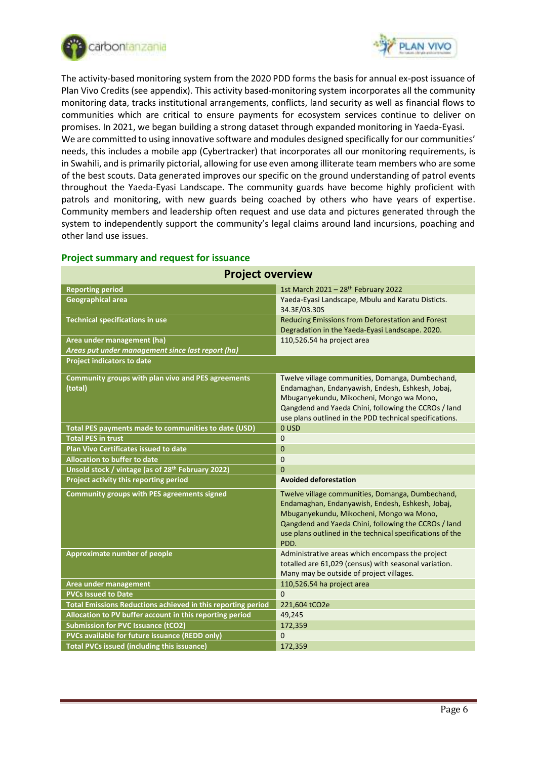

other land use issues.



The activity-based monitoring system from the 2020 PDD forms the basis for annual ex-post issuance of Plan Vivo Credits (see appendix). This activity based-monitoring system incorporates all the community monitoring data, tracks institutional arrangements, conflicts, land security as well as financial flows to communities which are critical to ensure payments for ecosystem services continue to deliver on promises. In 2021, we began building a strong dataset through expanded monitoring in Yaeda-Eyasi. We are committed to using innovative software and modules designed specifically for our communities' needs, this includes a mobile app (Cybertracker) that incorporates all our monitoring requirements, is in Swahili, and is primarily pictorial, allowing for use even among illiterate team members who are some of the best scouts. Data generated improves our specific on the ground understanding of patrol events throughout the Yaeda-Eyasi Landscape. The community guards have become highly proficient with patrols and monitoring, with new guards being coached by others who have years of expertise. Community members and leadership often request and use data and pictures generated through the

system to independently support the community's legal claims around land incursions, poaching and

| <b>Project overview</b>                                                         |                                                                                                                                                                                                                                                                               |  |  |  |  |
|---------------------------------------------------------------------------------|-------------------------------------------------------------------------------------------------------------------------------------------------------------------------------------------------------------------------------------------------------------------------------|--|--|--|--|
| <b>Reporting period</b>                                                         | 1st March 2021 - 28th February 2022                                                                                                                                                                                                                                           |  |  |  |  |
| <b>Geographical area</b>                                                        | Yaeda-Eyasi Landscape, Mbulu and Karatu Disticts.<br>34.3E/03.30S                                                                                                                                                                                                             |  |  |  |  |
| <b>Technical specifications in use</b>                                          | Reducing Emissions from Deforestation and Forest<br>Degradation in the Yaeda-Eyasi Landscape. 2020.                                                                                                                                                                           |  |  |  |  |
| Area under management (ha)<br>Areas put under management since last report (ha) | 110,526.54 ha project area                                                                                                                                                                                                                                                    |  |  |  |  |
| <b>Project indicators to date</b>                                               |                                                                                                                                                                                                                                                                               |  |  |  |  |
| Community groups with plan vivo and PES agreements<br>(total)                   | Twelve village communities, Domanga, Dumbechand,<br>Endamaghan, Endanyawish, Endesh, Eshkesh, Jobaj,<br>Mbuganyekundu, Mikocheni, Mongo wa Mono,<br>Qangdend and Yaeda Chini, following the CCROs / land<br>use plans outlined in the PDD technical specifications.           |  |  |  |  |
| <b>Total PES payments made to communities to date (USD)</b>                     | 0 USD                                                                                                                                                                                                                                                                         |  |  |  |  |
| <b>Total PES in trust</b>                                                       | $\mathbf 0$                                                                                                                                                                                                                                                                   |  |  |  |  |
| <b>Plan Vivo Certificates issued to date</b>                                    | 0                                                                                                                                                                                                                                                                             |  |  |  |  |
| <b>Allocation to buffer to date</b>                                             | $\mathbf 0$                                                                                                                                                                                                                                                                   |  |  |  |  |
| Unsold stock / vintage (as of 28th February 2022)                               | $\Omega$                                                                                                                                                                                                                                                                      |  |  |  |  |
| Project activity this reporting period                                          | <b>Avoided deforestation</b>                                                                                                                                                                                                                                                  |  |  |  |  |
| <b>Community groups with PES agreements signed</b>                              | Twelve village communities, Domanga, Dumbechand,<br>Endamaghan, Endanyawish, Endesh, Eshkesh, Jobaj,<br>Mbuganyekundu, Mikocheni, Mongo wa Mono,<br>Qangdend and Yaeda Chini, following the CCROs / land<br>use plans outlined in the technical specifications of the<br>PDD. |  |  |  |  |
| <b>Approximate number of people</b>                                             | Administrative areas which encompass the project<br>totalled are 61,029 (census) with seasonal variation.<br>Many may be outside of project villages.                                                                                                                         |  |  |  |  |
| <b>Area under management</b>                                                    | 110,526.54 ha project area                                                                                                                                                                                                                                                    |  |  |  |  |
| <b>PVCs Issued to Date</b>                                                      | $\Omega$                                                                                                                                                                                                                                                                      |  |  |  |  |
| Total Emissions Reductions achieved in this reporting period                    | 221,604 tCO2e                                                                                                                                                                                                                                                                 |  |  |  |  |
| Allocation to PV buffer account in this reporting period                        | 49,245                                                                                                                                                                                                                                                                        |  |  |  |  |
| <b>Submission for PVC Issuance (tCO2)</b>                                       | 172.359                                                                                                                                                                                                                                                                       |  |  |  |  |
| PVCs available for future issuance (REDD only)                                  | $\Omega$                                                                                                                                                                                                                                                                      |  |  |  |  |
| <b>Total PVCs issued (including this issuance)</b>                              | 172,359                                                                                                                                                                                                                                                                       |  |  |  |  |

## <span id="page-5-0"></span>**Project summary and request for issuance**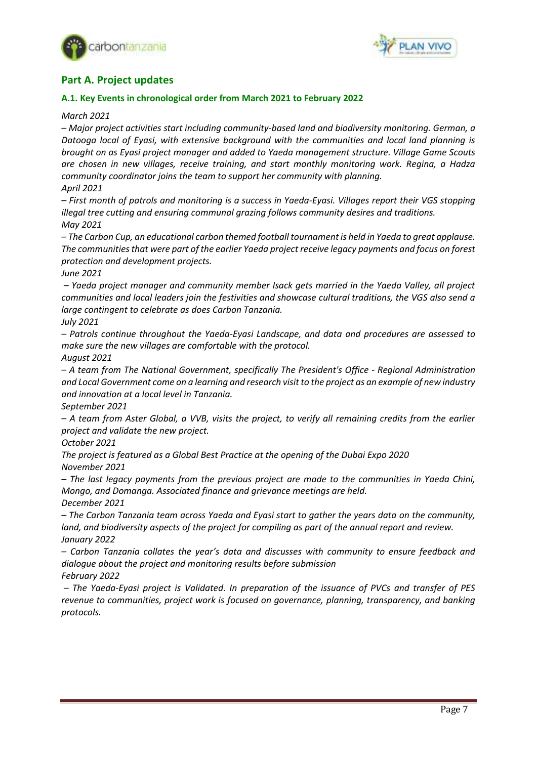



# <span id="page-6-0"></span>**Part A. Project updates**

## <span id="page-6-1"></span>**A.1. Key Events in chronological order from March 2021 to February 2022**

*March 2021*

*– Major project activities start including community-based land and biodiversity monitoring. German, a Datooga local of Eyasi, with extensive background with the communities and local land planning is brought on as Eyasi project manager and added to Yaeda management structure. Village Game Scouts are chosen in new villages, receive training, and start monthly monitoring work. Regina, a Hadza community coordinator joins the team to support her community with planning. April 2021*

*– First month of patrols and monitoring is a success in Yaeda-Eyasi. Villages report their VGS stopping illegal tree cutting and ensuring communal grazing follows community desires and traditions. May 2021* 

*– The Carbon Cup, an educational carbon themed football tournament is held in Yaeda to great applause. The communities that were part of the earlier Yaeda project receive legacy payments and focus on forest protection and development projects.*

*June 2021*

*– Yaeda project manager and community member Isack gets married in the Yaeda Valley, all project communities and local leaders join the festivities and showcase cultural traditions, the VGS also send a large contingent to celebrate as does Carbon Tanzania.*

## *July 2021*

*– Patrols continue throughout the Yaeda-Eyasi Landscape, and data and procedures are assessed to make sure the new villages are comfortable with the protocol.*

*August 2021*

*– A team from The National Government, specifically The President's Office - Regional Administration and Local Government come on a learning and research visit to the project as an example of new industry and innovation at a local level in Tanzania.*

*September 2021*

*– A team from Aster Global, a VVB, visits the project, to verify all remaining credits from the earlier project and validate the new project.*

*October 2021*

*The project is featured as a Global Best Practice at the opening of the Dubai Expo 2020 November 2021*

*– The last legacy payments from the previous project are made to the communities in Yaeda Chini, Mongo, and Domanga. Associated finance and grievance meetings are held. December 2021*

*– The Carbon Tanzania team across Yaeda and Eyasi start to gather the years data on the community, land, and biodiversity aspects of the project for compiling as part of the annual report and review. January 2022*

*– Carbon Tanzania collates the year's data and discusses with community to ensure feedback and dialogue about the project and monitoring results before submission*

*February 2022* 

*– The Yaeda-Eyasi project is Validated. In preparation of the issuance of PVCs and transfer of PES revenue to communities, project work is focused on governance, planning, transparency, and banking protocols.*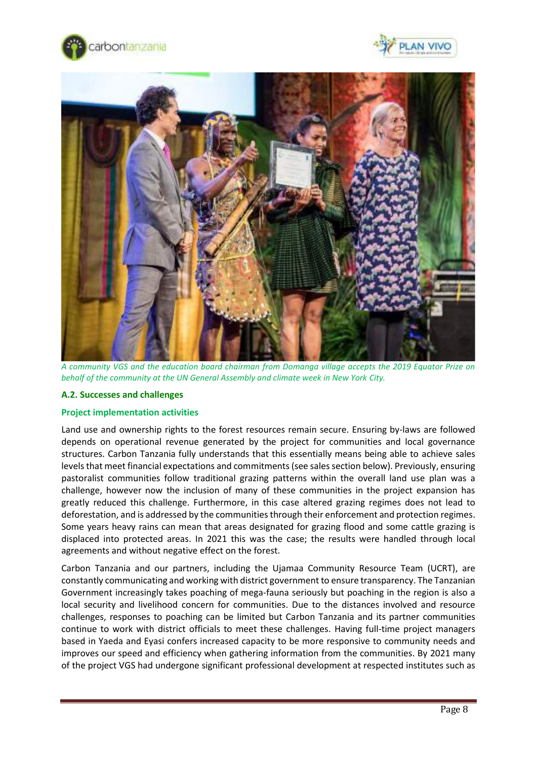





*A community VGS and the education board chairman from Domanga village accepts the 2019 Equator Prize on behalf of the community at the UN General Assembly and climate week in New York City.*

#### <span id="page-7-0"></span>**A.2. Successes and challenges**

#### **Project implementation activities**

Land use and ownership rights to the forest resources remain secure. Ensuring by-laws are followed depends on operational revenue generated by the project for communities and local governance structures. Carbon Tanzania fully understands that this essentially means being able to achieve sales levels that meet financial expectations and commitments (see sales section below). Previously, ensuring pastoralist communities follow traditional grazing patterns within the overall land use plan was a challenge, however now the inclusion of many of these communities in the project expansion has greatly reduced this challenge. Furthermore, in this case altered grazing regimes does not lead to deforestation, and is addressed by the communities through their enforcement and protection regimes. Some years heavy rains can mean that areas designated for grazing flood and some cattle grazing is displaced into protected areas. In 2021 this was the case; the results were handled through local agreements and without negative effect on the forest.

Carbon Tanzania and our partners, including the Ujamaa Community Resource Team (UCRT), are constantly communicating and working with district government to ensure transparency. The Tanzanian Government increasingly takes poaching of mega-fauna seriously but poaching in the region is also a local security and livelihood concern for communities. Due to the distances involved and resource challenges, responses to poaching can be limited but Carbon Tanzania and its partner communities continue to work with district officials to meet these challenges. Having full-time project managers based in Yaeda and Eyasi confers increased capacity to be more responsive to community needs and improves our speed and efficiency when gathering information from the communities. By 2021 many of the project VGS had undergone significant professional development at respected institutes such as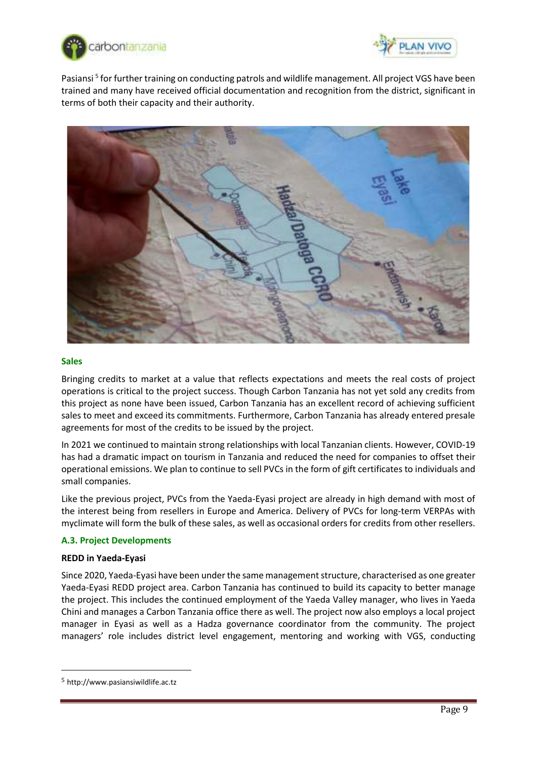



Pasiansi<sup>5</sup> for further training on conducting patrols and wildlife management. All project VGS have been trained and many have received official documentation and recognition from the district, significant in terms of both their capacity and their authority.



#### **Sales**

Bringing credits to market at a value that reflects expectations and meets the real costs of project operations is critical to the project success. Though Carbon Tanzania has not yet sold any credits from this project as none have been issued, Carbon Tanzania has an excellent record of achieving sufficient sales to meet and exceed its commitments. Furthermore, Carbon Tanzania has already entered presale agreements for most of the credits to be issued by the project.

In 2021 we continued to maintain strong relationships with local Tanzanian clients. However, COVID-19 has had a dramatic impact on tourism in Tanzania and reduced the need for companies to offset their operational emissions. We plan to continue to sell PVCs in the form of gift certificates to individuals and small companies.

Like the previous project, PVCs from the Yaeda-Eyasi project are already in high demand with most of the interest being from resellers in Europe and America. Delivery of PVCs for long-term VERPAs with myclimate will form the bulk of these sales, as well as occasional orders for credits from other resellers.

#### <span id="page-8-0"></span>**A.3. Project Developments**

#### **REDD in Yaeda-Eyasi**

Since 2020, Yaeda-Eyasi have been under the same management structure, characterised as one greater Yaeda-Eyasi REDD project area. Carbon Tanzania has continued to build its capacity to better manage the project. This includes the continued employment of the Yaeda Valley manager, who lives in Yaeda Chini and manages a Carbon Tanzania office there as well. The project now also employs a local project manager in Eyasi as well as a Hadza governance coordinator from the community. The project managers' role includes district level engagement, mentoring and working with VGS, conducting

<sup>5</sup> http://www.pasiansiwildlife.ac.tz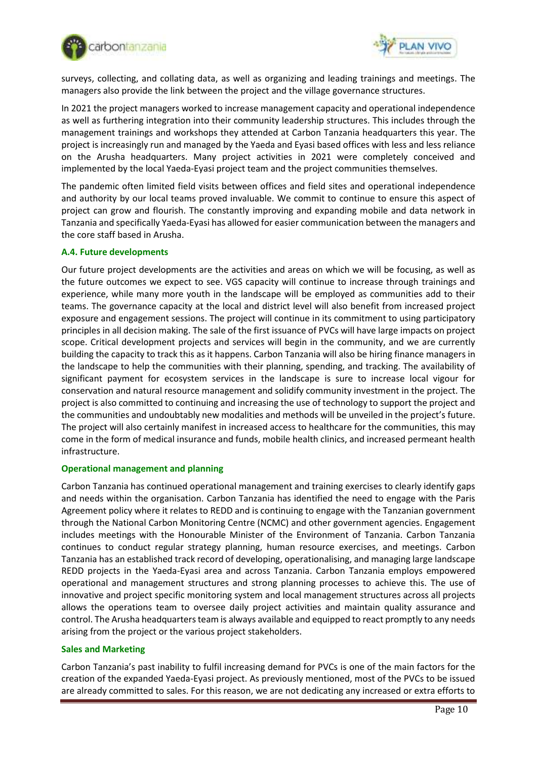



surveys, collecting, and collating data, as well as organizing and leading trainings and meetings. The managers also provide the link between the project and the village governance structures.

In 2021 the project managers worked to increase management capacity and operational independence as well as furthering integration into their community leadership structures. This includes through the management trainings and workshops they attended at Carbon Tanzania headquarters this year. The project is increasingly run and managed by the Yaeda and Eyasi based offices with less and less reliance on the Arusha headquarters. Many project activities in 2021 were completely conceived and implemented by the local Yaeda-Eyasi project team and the project communities themselves.

The pandemic often limited field visits between offices and field sites and operational independence and authority by our local teams proved invaluable. We commit to continue to ensure this aspect of project can grow and flourish. The constantly improving and expanding mobile and data network in Tanzania and specifically Yaeda-Eyasi has allowed for easier communication between the managers and the core staff based in Arusha.

#### <span id="page-9-0"></span>**A.4. Future developments**

Our future project developments are the activities and areas on which we will be focusing, as well as the future outcomes we expect to see. VGS capacity will continue to increase through trainings and experience, while many more youth in the landscape will be employed as communities add to their teams. The governance capacity at the local and district level will also benefit from increased project exposure and engagement sessions. The project will continue in its commitment to using participatory principles in all decision making. The sale of the first issuance of PVCs will have large impacts on project scope. Critical development projects and services will begin in the community, and we are currently building the capacity to track this as it happens. Carbon Tanzania will also be hiring finance managers in the landscape to help the communities with their planning, spending, and tracking. The availability of significant payment for ecosystem services in the landscape is sure to increase local vigour for conservation and natural resource management and solidify community investment in the project. The project is also committed to continuing and increasing the use of technology to support the project and the communities and undoubtably new modalities and methods will be unveiled in the project's future. The project will also certainly manifest in increased access to healthcare for the communities, this may come in the form of medical insurance and funds, mobile health clinics, and increased permeant health infrastructure.

#### **Operational management and planning**

Carbon Tanzania has continued operational management and training exercises to clearly identify gaps and needs within the organisation. Carbon Tanzania has identified the need to engage with the Paris Agreement policy where it relates to REDD and is continuing to engage with the Tanzanian government through the National Carbon Monitoring Centre (NCMC) and other government agencies. Engagement includes meetings with the Honourable Minister of the Environment of Tanzania. Carbon Tanzania continues to conduct regular strategy planning, human resource exercises, and meetings. Carbon Tanzania has an established track record of developing, operationalising, and managing large landscape REDD projects in the Yaeda-Eyasi area and across Tanzania. Carbon Tanzania employs empowered operational and management structures and strong planning processes to achieve this. The use of innovative and project specific monitoring system and local management structures across all projects allows the operations team to oversee daily project activities and maintain quality assurance and control. The Arusha headquarters team is always available and equipped to react promptly to any needs arising from the project or the various project stakeholders.

#### **Sales and Marketing**

Carbon Tanzania's past inability to fulfil increasing demand for PVCs is one of the main factors for the creation of the expanded Yaeda-Eyasi project. As previously mentioned, most of the PVCs to be issued are already committed to sales. For this reason, we are not dedicating any increased or extra efforts to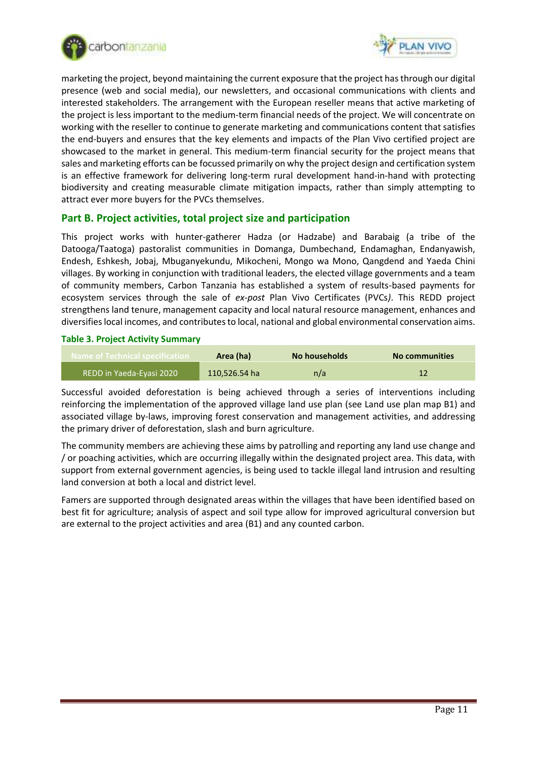



marketing the project, beyond maintaining the current exposure that the project has through our digital presence (web and social media), our newsletters, and occasional communications with clients and interested stakeholders. The arrangement with the European reseller means that active marketing of the project is less important to the medium-term financial needs of the project. We will concentrate on working with the reseller to continue to generate marketing and communications content that satisfies the end-buyers and ensures that the key elements and impacts of the Plan Vivo certified project are showcased to the market in general. This medium-term financial security for the project means that sales and marketing efforts can be focussed primarily on why the project design and certification system is an effective framework for delivering long-term rural development hand-in-hand with protecting biodiversity and creating measurable climate mitigation impacts, rather than simply attempting to attract ever more buyers for the PVCs themselves.

## <span id="page-10-0"></span>**Part B. Project activities, total project size and participation**

This project works with hunter-gatherer Hadza (or Hadzabe) and Barabaig (a tribe of the Datooga/Taatoga) pastoralist communities in Domanga, Dumbechand, Endamaghan, Endanyawish, Endesh, Eshkesh, Jobaj, Mbuganyekundu, Mikocheni, Mongo wa Mono, Qangdend and Yaeda Chini villages. By working in conjunction with traditional leaders, the elected village governments and a team of community members, Carbon Tanzania has established a system of results-based payments for ecosystem services through the sale of *ex-post* Plan Vivo Certificates (PVCs*)*. This REDD project strengthens land tenure, management capacity and local natural resource management, enhances and diversifies local incomes, and contributes to local, national and global environmental conservation aims.

#### <span id="page-10-1"></span>**Table 3. Project Activity Summary**

| Name of Technical specification | Area (ha)     | No households | No communities |
|---------------------------------|---------------|---------------|----------------|
| REDD in Yaeda-Eyasi 2020        | 110.526.54 ha | n/a           |                |

Successful avoided deforestation is being achieved through a series of interventions including reinforcing the implementation of the approved village land use plan (see Land use plan map B1) and associated village by-laws, improving forest conservation and management activities, and addressing the primary driver of deforestation, slash and burn agriculture.

The community members are achieving these aims by patrolling and reporting any land use change and / or poaching activities, which are occurring illegally within the designated project area. This data, with support from external government agencies, is being used to tackle illegal land intrusion and resulting land conversion at both a local and district level.

Famers are supported through designated areas within the villages that have been identified based on best fit for agriculture; analysis of aspect and soil type allow for improved agricultural conversion but are external to the project activities and area (B1) and any counted carbon.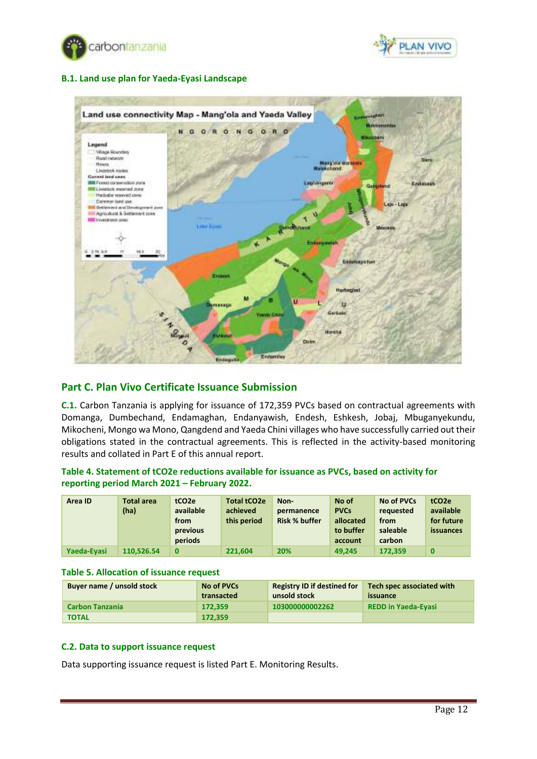



## <span id="page-11-0"></span>**B.1. Land use plan for Yaeda-Eyasi Landscape**



## <span id="page-11-1"></span>**Part C. Plan Vivo Certificate Issuance Submission**

**C.1.** Carbon Tanzania is applying for issuance of 172,359 PVCs based on contractual agreements with Domanga, Dumbechand, Endamaghan, Endanyawish, Endesh, Eshkesh, Jobaj, Mbuganyekundu, Mikocheni, Mongo wa Mono, Qangdend and Yaeda Chini villages who have successfully carried out their obligations stated in the contractual agreements. This is reflected in the activity-based monitoring results and collated in Part E of this annual report.

## <span id="page-11-2"></span>**Table 4. Statement of tCO2e reductions available for issuance as PVCs, based on activity for reporting period March 2021 – February 2022.**

| Area ID     | <b>Total area</b> | tCO <sub>2e</sub> | Total tCO2e | Non-                 | No of       | No of PVCs | tCO <sub>2</sub> e |
|-------------|-------------------|-------------------|-------------|----------------------|-------------|------------|--------------------|
|             | (ha)              | available         | achieved    | permanence           | <b>PVCs</b> | requested  | available          |
|             |                   | from              | this period | <b>Risk % buffer</b> | allocated   | from       | for future         |
|             |                   | previous          |             |                      | to buffer   | saleable   | issuances          |
|             |                   | periods           |             |                      | account     | carbon     |                    |
| Yaeda-Eyasi | 110.526.54        | $\bf{0}$          | 221.604     | 20%                  | 49.245      | 172.359    | $\bf{0}$           |

#### <span id="page-11-3"></span>**Table 5. Allocation of issuance request**

| Buyer name / unsold stock | No of PVCs | <b>Registry ID if destined for</b> | Tech spec associated with  |
|---------------------------|------------|------------------------------------|----------------------------|
|                           | transacted | unsold stock                       | issuance                   |
| <b>Carbon Tanzania</b>    | 172.359    | 103000000002262                    | <b>REDD in Yaeda-Eyasi</b> |
| <b>TOTAL</b>              | 172.359    |                                    |                            |

#### <span id="page-11-4"></span>**C.2. Data to support issuance request**

Data supporting issuance request is listed Part E. Monitoring Results.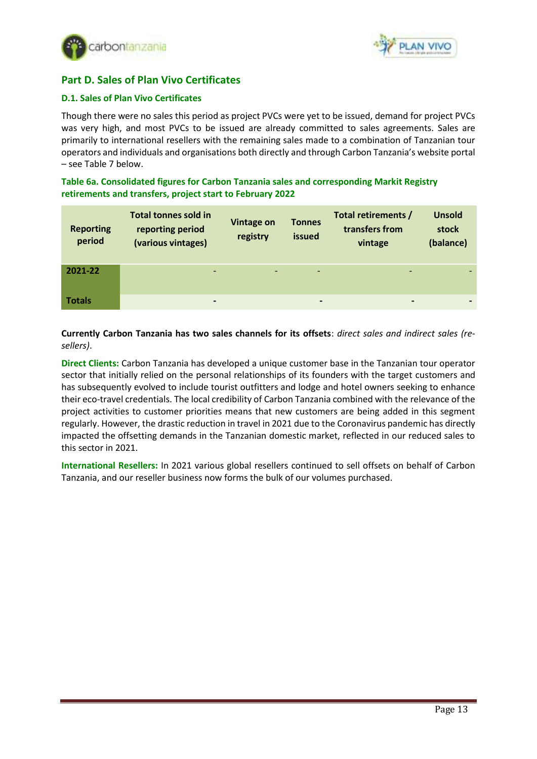



# <span id="page-12-0"></span>**Part D. Sales of Plan Vivo Certificates**

## <span id="page-12-1"></span>**D.1. Sales of Plan Vivo Certificates**

Though there were no sales this period as project PVCs were yet to be issued, demand for project PVCs was very high, and most PVCs to be issued are already committed to sales agreements. Sales are primarily to international resellers with the remaining sales made to a combination of Tanzanian tour operators and individuals and organisations both directly and through Carbon Tanzania's website portal – see Table 7 below.

<span id="page-12-2"></span>**Table 6a. Consolidated figures for Carbon Tanzania sales and corresponding Markit Registry retirements and transfers, project start to February 2022**

| <b>Reporting</b><br>period | <b>Total tonnes sold in</b><br>reporting period<br>(various vintages) | <b>Vintage on</b><br>registry | <b>Tonnes</b><br>issued  | Total retirements /<br>transfers from<br>vintage | <b>Unsold</b><br>stock<br>(balance) |
|----------------------------|-----------------------------------------------------------------------|-------------------------------|--------------------------|--------------------------------------------------|-------------------------------------|
| 2021-22                    | $\overline{\phantom{0}}$                                              |                               | $\overline{\phantom{a}}$ |                                                  |                                     |
| <b>Totals</b>              | $\blacksquare$                                                        |                               |                          | $\overline{\phantom{0}}$                         |                                     |

**Currently Carbon Tanzania has two sales channels for its offsets**: *direct sales and indirect sales (resellers)*.

**Direct Clients:** Carbon Tanzania has developed a unique customer base in the Tanzanian tour operator sector that initially relied on the personal relationships of its founders with the target customers and has subsequently evolved to include tourist outfitters and lodge and hotel owners seeking to enhance their eco-travel credentials. The local credibility of Carbon Tanzania combined with the relevance of the project activities to customer priorities means that new customers are being added in this segment regularly. However, the drastic reduction in travel in 2021 due to the Coronavirus pandemic has directly impacted the offsetting demands in the Tanzanian domestic market, reflected in our reduced sales to this sector in 2021.

**International Resellers:** In 2021 various global resellers continued to sell offsets on behalf of Carbon Tanzania, and our reseller business now forms the bulk of our volumes purchased.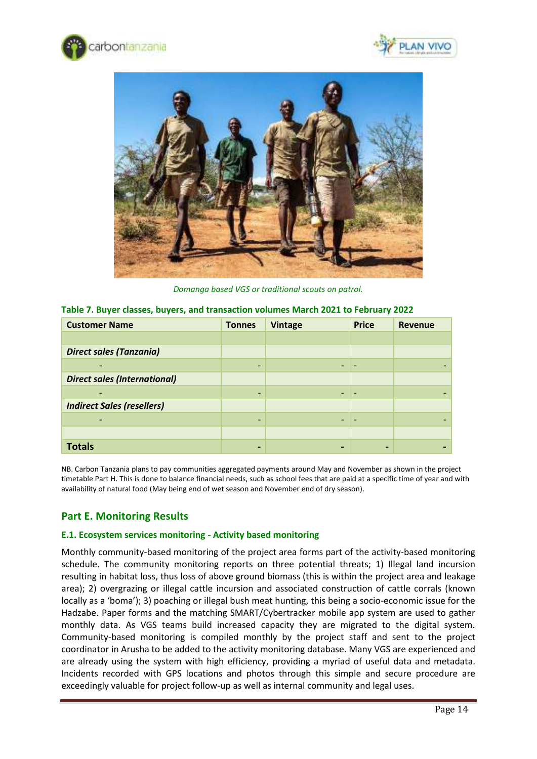





*Domanga based VGS or traditional scouts on patrol.*

| <b>Customer Name</b>                | <b>Tonnes</b>            | <b>Vintage</b> | <b>Price</b> | <b>Revenue</b> |
|-------------------------------------|--------------------------|----------------|--------------|----------------|
|                                     |                          |                |              |                |
| <b>Direct sales (Tanzania)</b>      |                          |                |              |                |
|                                     | $\overline{\phantom{0}}$ |                |              |                |
| <b>Direct sales (International)</b> |                          |                |              |                |
|                                     | $\overline{\phantom{0}}$ |                |              |                |
| <b>Indirect Sales (resellers)</b>   |                          |                |              |                |
|                                     | -                        |                |              |                |
|                                     |                          |                |              |                |
| <b>Totals</b>                       | -                        |                |              |                |

<span id="page-13-0"></span>

NB. Carbon Tanzania plans to pay communities aggregated payments around May and November as shown in the project timetable Part H. This is done to balance financial needs, such as school fees that are paid at a specific time of year and with availability of natural food (May being end of wet season and November end of dry season).

# <span id="page-13-1"></span>**Part E. Monitoring Results**

#### <span id="page-13-2"></span>**E.1. Ecosystem services monitoring - Activity based monitoring**

Monthly community-based monitoring of the project area forms part of the activity-based monitoring schedule. The community monitoring reports on three potential threats; 1) Illegal land incursion resulting in habitat loss, thus loss of above ground biomass (this is within the project area and leakage area); 2) overgrazing or illegal cattle incursion and associated construction of cattle corrals (known locally as a 'boma'); 3) poaching or illegal bush meat hunting, this being a socio-economic issue for the Hadzabe. Paper forms and the matching SMART/Cybertracker mobile app system are used to gather monthly data. As VGS teams build increased capacity they are migrated to the digital system. Community-based monitoring is compiled monthly by the project staff and sent to the project coordinator in Arusha to be added to the activity monitoring database. Many VGS are experienced and are already using the system with high efficiency, providing a myriad of useful data and metadata. Incidents recorded with GPS locations and photos through this simple and secure procedure are exceedingly valuable for project follow-up as well as internal community and legal uses.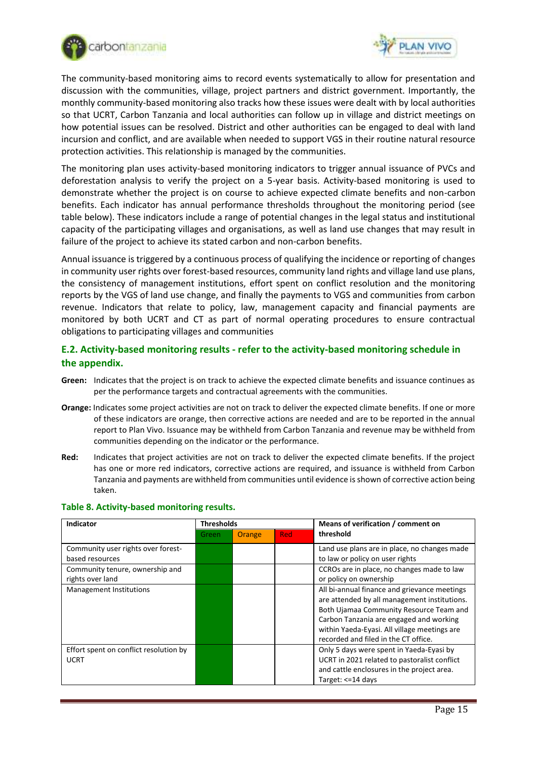



The community-based monitoring aims to record events systematically to allow for presentation and discussion with the communities, village, project partners and district government. Importantly, the monthly community-based monitoring also tracks how these issues were dealt with by local authorities so that UCRT, Carbon Tanzania and local authorities can follow up in village and district meetings on how potential issues can be resolved. District and other authorities can be engaged to deal with land incursion and conflict, and are available when needed to support VGS in their routine natural resource protection activities. This relationship is managed by the communities.

The monitoring plan uses activity-based monitoring indicators to trigger annual issuance of PVCs and deforestation analysis to verify the project on a 5-year basis. Activity-based monitoring is used to demonstrate whether the project is on course to achieve expected climate benefits and non-carbon benefits. Each indicator has annual performance thresholds throughout the monitoring period (see table below). These indicators include a range of potential changes in the legal status and institutional capacity of the participating villages and organisations, as well as land use changes that may result in failure of the project to achieve its stated carbon and non-carbon benefits.

Annual issuance is triggered by a continuous process of qualifying the incidence or reporting of changes in community user rights over forest-based resources, community land rights and village land use plans, the consistency of management institutions, effort spent on conflict resolution and the monitoring reports by the VGS of land use change, and finally the payments to VGS and communities from carbon revenue. Indicators that relate to policy, law, management capacity and financial payments are monitored by both UCRT and CT as part of normal operating procedures to ensure contractual obligations to participating villages and communities

## **E.2. Activity-based monitoring results - refer to the activity-based monitoring schedule in the appendix.**

- **Green:** Indicates that the project is on track to achieve the expected climate benefits and issuance continues as per the performance targets and contractual agreements with the communities.
- **Orange:** Indicates some project activities are not on track to deliver the expected climate benefits. If one or more of these indicators are orange, then corrective actions are needed and are to be reported in the annual report to Plan Vivo. Issuance may be withheld from Carbon Tanzania and revenue may be withheld from communities depending on the indicator or the performance.
- **Red:** Indicates that project activities are not on track to deliver the expected climate benefits. If the project has one or more red indicators, corrective actions are required, and issuance is withheld from Carbon Tanzania and payments are withheld from communities until evidence is shown of corrective action being taken.

| Indicator                                             | <b>Thresholds</b> |        |     | Means of verification / comment on                                                                                                                                                                                                                                         |  |
|-------------------------------------------------------|-------------------|--------|-----|----------------------------------------------------------------------------------------------------------------------------------------------------------------------------------------------------------------------------------------------------------------------------|--|
|                                                       | Green             | Orange | Red | threshold                                                                                                                                                                                                                                                                  |  |
| Community user rights over forest-<br>based resources |                   |        |     | Land use plans are in place, no changes made<br>to law or policy on user rights                                                                                                                                                                                            |  |
| Community tenure, ownership and<br>rights over land   |                   |        |     | CCROs are in place, no changes made to law<br>or policy on ownership                                                                                                                                                                                                       |  |
| <b>Management Institutions</b>                        |                   |        |     | All bi-annual finance and grievance meetings<br>are attended by all management institutions.<br>Both Ujamaa Community Resource Team and<br>Carbon Tanzania are engaged and working<br>within Yaeda-Eyasi. All village meetings are<br>recorded and filed in the CT office. |  |
| Effort spent on conflict resolution by<br><b>UCRT</b> |                   |        |     | Only 5 days were spent in Yaeda-Eyasi by<br>UCRT in 2021 related to pastoralist conflict<br>and cattle enclosures in the project area.<br>Target: $\leq$ =14 days                                                                                                          |  |

#### <span id="page-14-0"></span>**Table 8. Activity-based monitoring results.**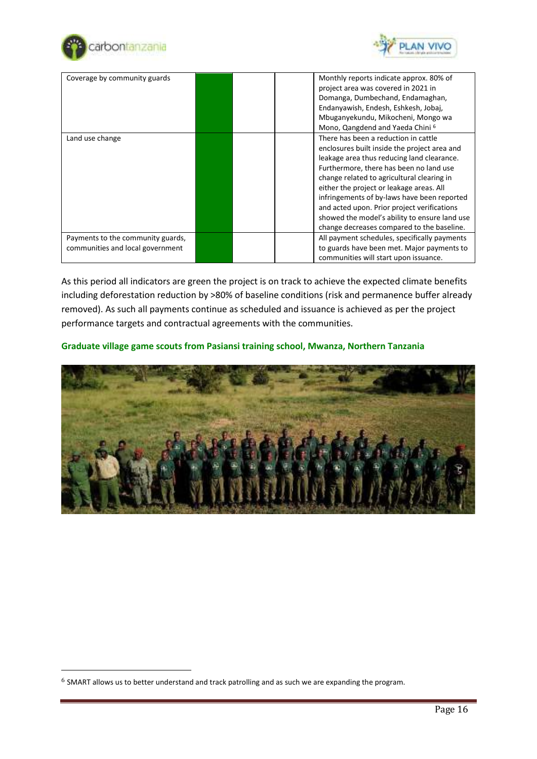



| Coverage by community guards                                          |  | Monthly reports indicate approx. 80% of<br>project area was covered in 2021 in<br>Domanga, Dumbechand, Endamaghan,<br>Endanyawish, Endesh, Eshkesh, Jobaj,<br>Mbuganyekundu, Mikocheni, Mongo wa<br>Mono, Qangdend and Yaeda Chini <sup>6</sup>                                                                                                                                                                                                                      |
|-----------------------------------------------------------------------|--|----------------------------------------------------------------------------------------------------------------------------------------------------------------------------------------------------------------------------------------------------------------------------------------------------------------------------------------------------------------------------------------------------------------------------------------------------------------------|
| Land use change                                                       |  | There has been a reduction in cattle<br>enclosures built inside the project area and<br>leakage area thus reducing land clearance.<br>Furthermore, there has been no land use<br>change related to agricultural clearing in<br>either the project or leakage areas. All<br>infringements of by-laws have been reported<br>and acted upon. Prior project verifications<br>showed the model's ability to ensure land use<br>change decreases compared to the baseline. |
| Payments to the community guards,<br>communities and local government |  | All payment schedules, specifically payments<br>to guards have been met. Major payments to<br>communities will start upon issuance.                                                                                                                                                                                                                                                                                                                                  |

As this period all indicators are green the project is on track to achieve the expected climate benefits including deforestation reduction by >80% of baseline conditions (risk and permanence buffer already removed). As such all payments continue as scheduled and issuance is achieved as per the project performance targets and contractual agreements with the communities.

## **Graduate village game scouts from Pasiansi training school, Mwanza, Northern Tanzania**



<sup>6</sup> SMART allows us to better understand and track patrolling and as such we are expanding the program.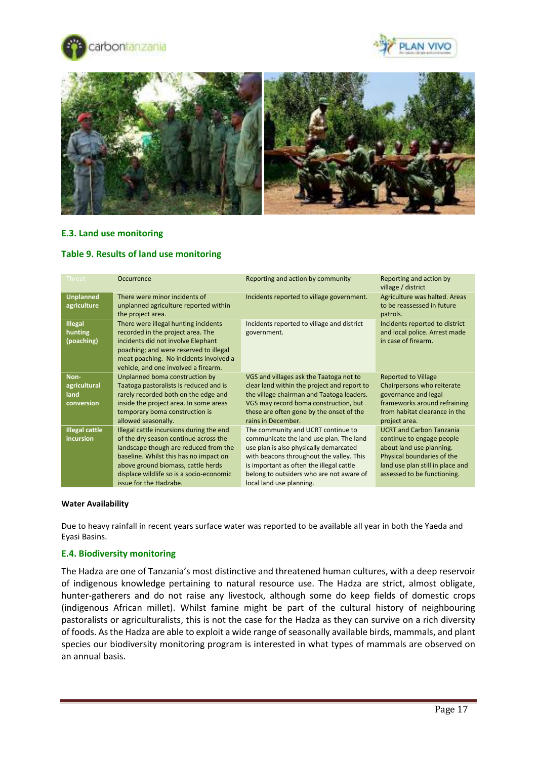





#### **E.3. Land use monitoring**

#### <span id="page-16-0"></span>**Table 9. Results of land use monitoring**

| <b>Threat</b>                              | Occurrence                                                                                                                                                                                                                                                                       | Reporting and action by community                                                                                                                                                                                                                                                       | Reporting and action by<br>village / district                                                                                                                                             |
|--------------------------------------------|----------------------------------------------------------------------------------------------------------------------------------------------------------------------------------------------------------------------------------------------------------------------------------|-----------------------------------------------------------------------------------------------------------------------------------------------------------------------------------------------------------------------------------------------------------------------------------------|-------------------------------------------------------------------------------------------------------------------------------------------------------------------------------------------|
| <b>Unplanned</b><br>agriculture            | There were minor incidents of<br>unplanned agriculture reported within<br>the project area.                                                                                                                                                                                      | Incidents reported to village government.                                                                                                                                                                                                                                               | Agriculture was halted. Areas<br>to be reassessed in future<br>patrols.                                                                                                                   |
| <b>Illegal</b><br>hunting<br>(poaching)    | There were illegal hunting incidents<br>recorded in the project area. The<br>incidents did not involve Elephant<br>poaching; and were reserved to illegal<br>meat poaching. No incidents involved a<br>vehicle, and one involved a firearm.                                      | Incidents reported to village and district<br>government.                                                                                                                                                                                                                               | Incidents reported to district<br>and local police. Arrest made<br>in case of firearm.                                                                                                    |
| Non-<br>agricultural<br>land<br>conversion | Unplanned boma construction by<br>Taatoga pastoralists is reduced and is<br>rarely recorded both on the edge and<br>inside the project area. In some areas<br>temporary boma construction is<br>allowed seasonally.                                                              | VGS and villages ask the Taatoga not to<br>clear land within the project and report to<br>the village chairman and Taatoga leaders.<br>VGS may record boma construction, but<br>these are often gone by the onset of the<br>rains in December.                                          | <b>Reported to Village</b><br>Chairpersons who reiterate<br>governance and legal<br>frameworks around refraining<br>from habitat clearance in the<br>project area.                        |
| <b>Illegal cattle</b><br>incursion         | Illegal cattle incursions during the end<br>of the dry season continue across the<br>landscape though are reduced from the<br>baseline. Whilst this has no impact on<br>above ground biomass, cattle herds<br>displace wildlife so is a socio-economic<br>issue for the Hadzabe. | The community and UCRT continue to<br>communicate the land use plan. The land<br>use plan is also physically demarcated<br>with beacons throughout the valley. This<br>is important as often the illegal cattle<br>belong to outsiders who are not aware of<br>local land use planning. | <b>UCRT and Carbon Tanzania</b><br>continue to engage people<br>about land use planning.<br>Physical boundaries of the<br>land use plan still in place and<br>assessed to be functioning. |

#### **Water Availability**

Due to heavy rainfall in recent years surface water was reported to be available all year in both the Yaeda and Eyasi Basins.

#### <span id="page-16-1"></span>**E.4. Biodiversity monitoring**

The Hadza are one of Tanzania's most distinctive and threatened human cultures, with a deep reservoir of indigenous knowledge pertaining to natural resource use. The Hadza are strict, almost obligate, hunter-gatherers and do not raise any livestock, although some do keep fields of domestic crops (indigenous African millet). Whilst famine might be part of the cultural history of neighbouring pastoralists or agriculturalists, this is not the case for the Hadza as they can survive on a rich diversity of foods. As the Hadza are able to exploit a wide range of seasonally available birds, mammals, and plant species our biodiversity monitoring program is interested in what types of mammals are observed on an annual basis.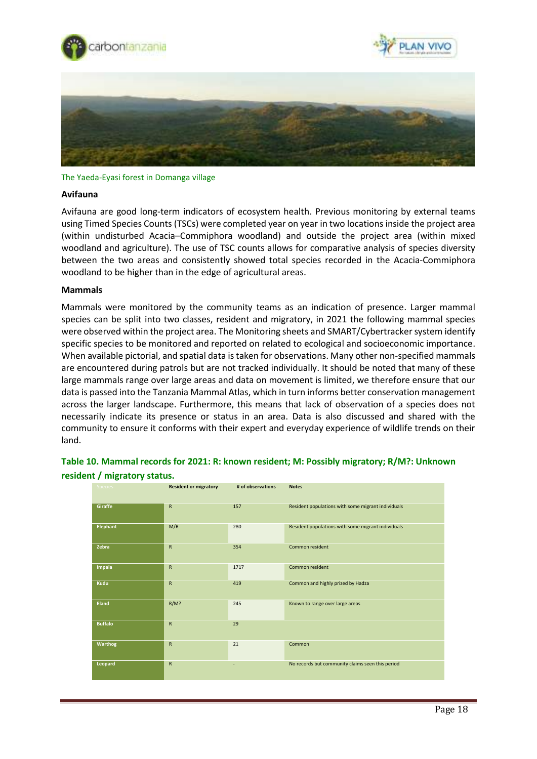





#### The Yaeda-Eyasi forest in Domanga village

#### **Avifauna**

Avifauna are good long-term indicators of ecosystem health. Previous monitoring by external teams using Timed Species Counts (TSCs) were completed year on year in two locations inside the project area (within undisturbed Acacia–Commiphora woodland) and outside the project area (within mixed woodland and agriculture). The use of TSC counts allows for comparative analysis of species diversity between the two areas and consistently showed total species recorded in the Acacia-Commiphora woodland to be higher than in the edge of agricultural areas.

#### **Mammals**

Mammals were monitored by the community teams as an indication of presence. Larger mammal species can be split into two classes, resident and migratory, in 2021 the following mammal species were observed within the project area. The Monitoring sheets and SMART/Cybertracker system identify specific species to be monitored and reported on related to ecological and socioeconomic importance. When available pictorial, and spatial data is taken for observations. Many other non-specified mammals are encountered during patrols but are not tracked individually. It should be noted that many of these large mammals range over large areas and data on movement is limited, we therefore ensure that our data is passed into the Tanzania Mammal Atlas, which in turn informs better conservation management across the larger landscape. Furthermore, this means that lack of observation of a species does not necessarily indicate its presence or status in an area. Data is also discussed and shared with the community to ensure it conforms with their expert and everyday experience of wildlife trends on their land.

## <span id="page-17-0"></span>**Table 10. Mammal records for 2021: R: known resident; M: Possibly migratory; R/M?: Unknown resident / migratory status.**

| <b>Species</b>  | <b>Resident or migratory</b> | # of observations | <b>Notes</b>                                       |
|-----------------|------------------------------|-------------------|----------------------------------------------------|
| Giraffe         | $\mathsf{R}$                 | 157               | Resident populations with some migrant individuals |
| <b>Elephant</b> | M/R                          | 280               | Resident populations with some migrant individuals |
| Zebra           | $\mathsf{R}$                 | 354               | Common resident                                    |
| Impala          | $\mathsf{R}$                 | 1717              | Common resident                                    |
| Kudu            | ${\sf R}$                    | 419               | Common and highly prized by Hadza                  |
| Eland           | $R/M$ ?                      | 245               | Known to range over large areas                    |
| <b>Buffalo</b>  | R                            | 29                |                                                    |
| Warthog         | ${\sf R}$                    | 21                | Common                                             |
| Leopard         | ${\sf R}$                    | ٠                 | No records but community claims seen this period   |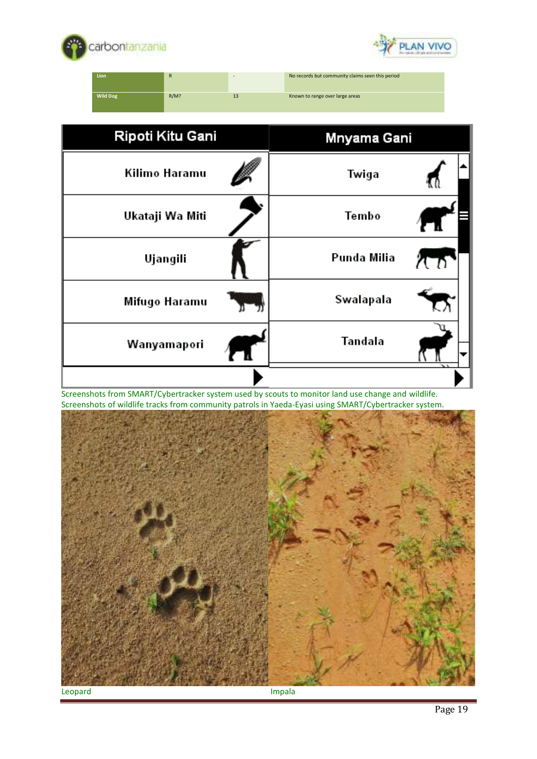



**Lion** R - No records but community claims seen this period **Wild Dog** R/M? R/M? 13 Known to range over large areas

| Ripoti Kitu Gani | Mnyama Gani |
|------------------|-------------|
| Kilimo Haramu    | Twiga       |
| Ukataji Wa Miti  | Tembo       |
| Ujangili         | Punda Milia |
| Mifugo Haramu    | Swalapala   |
| Wanyamapori      | Tandala     |
|                  |             |

Screenshots from SMART/Cybertracker system used by scouts to monitor land use change and wildlife. Screenshots of wildlife tracks from community patrols in Yaeda-Eyasi using SMART/Cybertracker system.

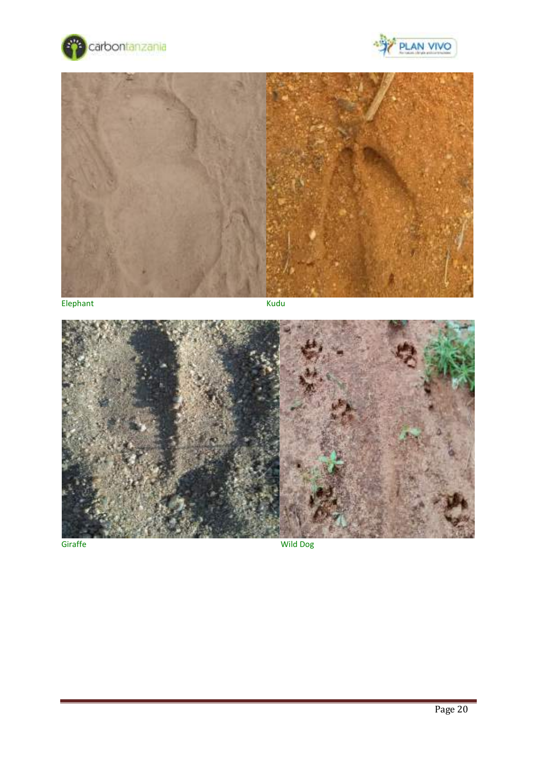





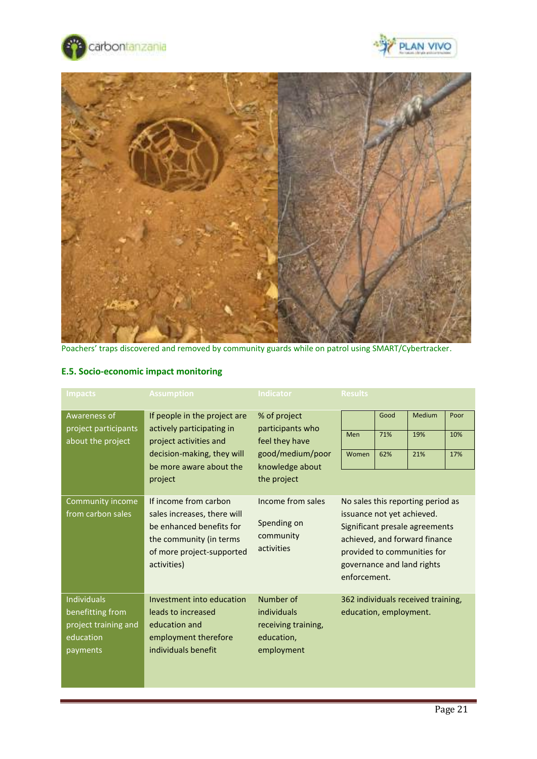





Poachers' traps discovered and removed by community guards while on patrol using SMART/Cybertracker.

| <b>Impacts</b>                                                                          | <b>Assumption</b>                                                                                                                                       | <b>Indicator</b>                                                            | <b>Results</b>                                                                                                                                                                                                  |      |                                    |      |
|-----------------------------------------------------------------------------------------|---------------------------------------------------------------------------------------------------------------------------------------------------------|-----------------------------------------------------------------------------|-----------------------------------------------------------------------------------------------------------------------------------------------------------------------------------------------------------------|------|------------------------------------|------|
| Awareness of<br>project participants                                                    | If people in the project are<br>actively participating in                                                                                               | % of project<br>participants who                                            |                                                                                                                                                                                                                 | Good | <b>Medium</b>                      | Poor |
| about the project                                                                       | project activities and                                                                                                                                  | feel they have                                                              | Men                                                                                                                                                                                                             | 71%  | 19%                                | 10%  |
|                                                                                         | decision-making, they will<br>be more aware about the                                                                                                   | good/medium/poor<br>knowledge about                                         | Women                                                                                                                                                                                                           | 62%  | 21%                                | 17%  |
|                                                                                         | project                                                                                                                                                 | the project                                                                 |                                                                                                                                                                                                                 |      |                                    |      |
| Community income<br>from carbon sales                                                   | If income from carbon<br>sales increases, there will<br>be enhanced benefits for<br>the community (in terms<br>of more project-supported<br>activities) | Income from sales<br>Spending on<br>community<br>activities                 | No sales this reporting period as<br>issuance not yet achieved.<br>Significant presale agreements<br>achieved, and forward finance<br>provided to communities for<br>governance and land rights<br>enforcement. |      |                                    |      |
| <b>Individuals</b><br>benefitting from<br>project training and<br>education<br>payments | Investment into education<br>leads to increased<br>education and<br>employment therefore<br>individuals benefit                                         | Number of<br>individuals<br>receiving training,<br>education,<br>employment | education, employment.                                                                                                                                                                                          |      | 362 individuals received training, |      |

# **E.5. Socio-economic impact monitoring**

Poor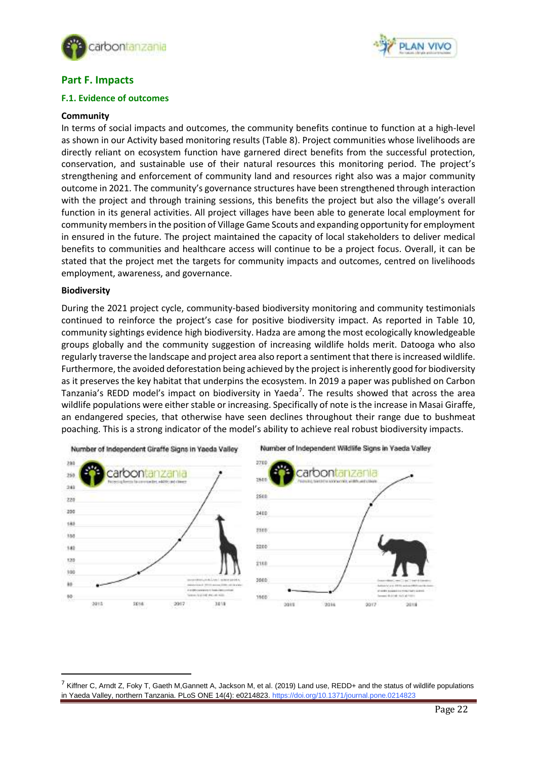



## <span id="page-21-0"></span>**Part F. Impacts**

#### <span id="page-21-1"></span>**F.1. Evidence of outcomes**

#### **Community**

In terms of social impacts and outcomes, the community benefits continue to function at a high-level as shown in our Activity based monitoring results (Table 8). Project communities whose livelihoods are directly reliant on ecosystem function have garnered direct benefits from the successful protection, conservation, and sustainable use of their natural resources this monitoring period. The project's strengthening and enforcement of community land and resources right also was a major community outcome in 2021. The community's governance structures have been strengthened through interaction with the project and through training sessions, this benefits the project but also the village's overall function in its general activities. All project villages have been able to generate local employment for community members in the position of Village Game Scouts and expanding opportunity for employment in ensured in the future. The project maintained the capacity of local stakeholders to deliver medical benefits to communities and healthcare access will continue to be a project focus. Overall, it can be stated that the project met the targets for community impacts and outcomes, centred on livelihoods employment, awareness, and governance.

#### **Biodiversity**

During the 2021 project cycle, community-based biodiversity monitoring and community testimonials continued to reinforce the project's case for positive biodiversity impact. As reported in Table 10, community sightings evidence high biodiversity. Hadza are among the most ecologically knowledgeable groups globally and the community suggestion of increasing wildlife holds merit. Datooga who also regularly traverse the landscape and project area also report a sentiment that there is increased wildlife. Furthermore, the avoided deforestation being achieved by the project isinherently good for biodiversity as it preserves the key habitat that underpins the ecosystem. In 2019 a paper was published on Carbon Tanzania's REDD model's impact on biodiversity in Yaeda<sup>7</sup>. The results showed that across the area wildlife populations were either stable or increasing. Specifically of note isthe increase in Masai Giraffe, an endangered species, that otherwise have seen declines throughout their range due to bushmeat poaching. This is a strong indicator of the model's ability to achieve real robust biodiversity impacts.



 $^7$  Kiffner C, Arndt Z, Foky T, Gaeth M, Gannett A, Jackson M, et al. (2019) Land use, REDD+ and the status of wildlife populations in Yaeda Valley, northern Tanzania. PLoS ONE 14(4): e0214823. https://doi.org/10.1371/journal.pone.0214823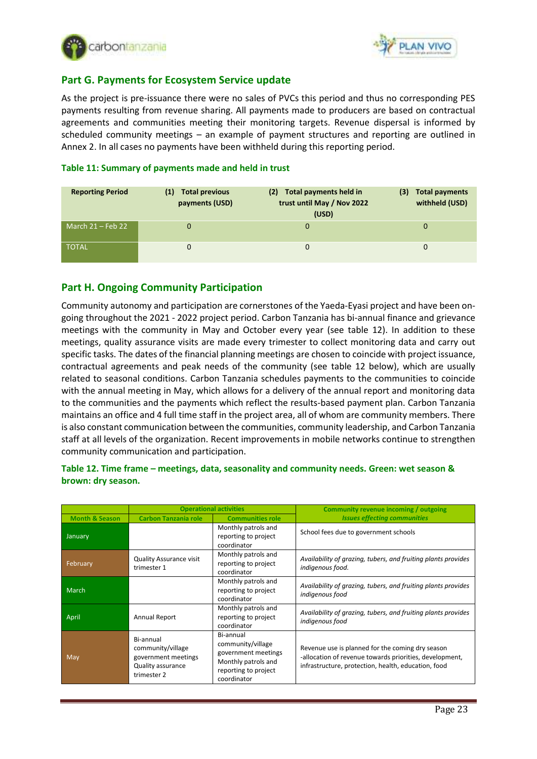



# <span id="page-22-0"></span>**Part G. Payments for Ecosystem Service update**

As the project is pre-issuance there were no sales of PVCs this period and thus no corresponding PES payments resulting from revenue sharing. All payments made to producers are based on contractual agreements and communities meeting their monitoring targets. Revenue dispersal is informed by scheduled community meetings – an example of payment structures and reporting are outlined in Annex 2. In all cases no payments have been withheld during this reporting period.

#### <span id="page-22-1"></span>**Table 11: Summary of payments made and held in trust**

| <b>Reporting Period</b> | <b>Total previous</b><br>(1)<br>payments (USD) | Total payments held in<br>(2)<br>trust until May / Nov 2022<br>(USD) | <b>Total payments</b><br>(3)<br>withheld (USD) |
|-------------------------|------------------------------------------------|----------------------------------------------------------------------|------------------------------------------------|
| March $21$ – Feb 22     | 0                                              | 0                                                                    | 0                                              |
| <b>TOTAL</b>            | 0                                              | 0                                                                    | $\Omega$                                       |

# <span id="page-22-2"></span>**Part H. Ongoing Community Participation**

Community autonomy and participation are cornerstones of the Yaeda-Eyasi project and have been ongoing throughout the 2021 - 2022 project period. Carbon Tanzania has bi-annual finance and grievance meetings with the community in May and October every year (see table 12). In addition to these meetings, quality assurance visits are made every trimester to collect monitoring data and carry out specific tasks. The dates of the financial planning meetings are chosen to coincide with project issuance, contractual agreements and peak needs of the community (see table 12 below), which are usually related to seasonal conditions. Carbon Tanzania schedules payments to the communities to coincide with the annual meeting in May, which allows for a delivery of the annual report and monitoring data to the communities and the payments which reflect the results-based payment plan. Carbon Tanzania maintains an office and 4 full time staff in the project area, all of whom are community members. There is also constant communication between the communities, community leadership, and Carbon Tanzania staff at all levels of the organization. Recent improvements in mobile networks continue to strengthen community communication and participation.

#### <span id="page-22-3"></span>**Table 12. Time frame – meetings, data, seasonality and community needs. Green: wet season & brown: dry season.**

|                           | <b>Operational activities</b>                                                             |                                                                                                                     | Community revenue incoming / outgoing                                                                                                                              |
|---------------------------|-------------------------------------------------------------------------------------------|---------------------------------------------------------------------------------------------------------------------|--------------------------------------------------------------------------------------------------------------------------------------------------------------------|
| <b>Month &amp; Season</b> | <b>Carbon Tanzania role</b>                                                               | <b>Communities role</b>                                                                                             | <b>Issues effecting communities</b>                                                                                                                                |
| January                   |                                                                                           | Monthly patrols and<br>reporting to project<br>coordinator                                                          | School fees due to government schools                                                                                                                              |
| February                  | <b>Quality Assurance visit</b><br>trimester 1                                             | Monthly patrols and<br>reporting to project<br>coordinator                                                          | Availability of grazing, tubers, and fruiting plants provides<br>indigenous food.                                                                                  |
| March                     |                                                                                           | Monthly patrols and<br>reporting to project<br>coordinator                                                          | Availability of grazing, tubers, and fruiting plants provides<br>indigenous food                                                                                   |
| April                     | Annual Report                                                                             | Monthly patrols and<br>reporting to project<br>coordinator                                                          | Availability of grazing, tubers, and fruiting plants provides<br>indigenous food                                                                                   |
| <b>May</b>                | Bi-annual<br>community/village<br>government meetings<br>Quality assurance<br>trimester 2 | Bi-annual<br>community/village<br>government meetings<br>Monthly patrols and<br>reporting to project<br>coordinator | Revenue use is planned for the coming dry season<br>-allocation of revenue towards priorities, development,<br>infrastructure, protection, health, education, food |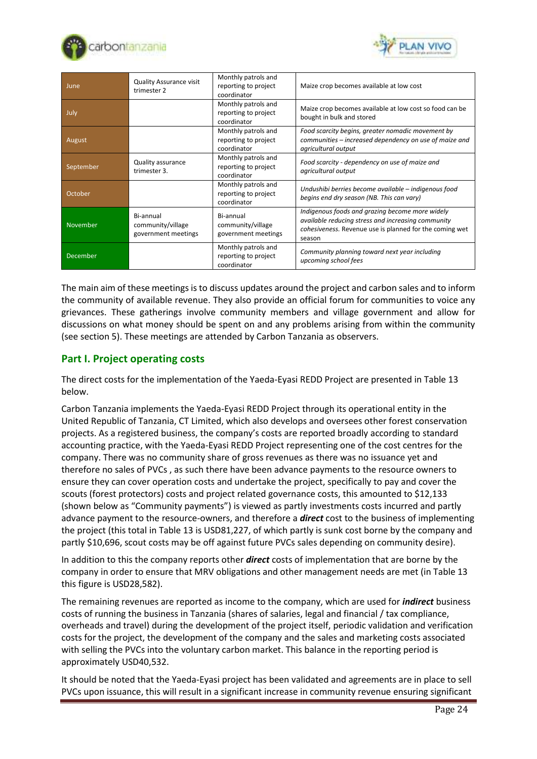



| June      | <b>Quality Assurance visit</b><br>trimester 2         | Monthly patrols and<br>reporting to project<br>coordinator | Maize crop becomes available at low cost                                                                                                                                   |
|-----------|-------------------------------------------------------|------------------------------------------------------------|----------------------------------------------------------------------------------------------------------------------------------------------------------------------------|
| July      |                                                       | Monthly patrols and<br>reporting to project<br>coordinator | Maize crop becomes available at low cost so food can be<br>bought in bulk and stored                                                                                       |
| August    |                                                       | Monthly patrols and<br>reporting to project<br>coordinator | Food scarcity begins, greater nomadic movement by<br>communities - increased dependency on use of maize and<br>agricultural output                                         |
| September | Quality assurance<br>trimester 3.                     | Monthly patrols and<br>reporting to project<br>coordinator | Food scarcity - dependency on use of maize and<br>agricultural output                                                                                                      |
| October   |                                                       | Monthly patrols and<br>reporting to project<br>coordinator | Undushibi berries become available - indigenous food<br>begins end dry season (NB. This can vary)                                                                          |
| November  | Bi-annual<br>community/village<br>government meetings | Bi-annual<br>community/village<br>government meetings      | Indigenous foods and grazing become more widely<br>available reducing stress and increasing community<br>cohesiveness. Revenue use is planned for the coming wet<br>season |
| December  |                                                       | Monthly patrols and<br>reporting to project<br>coordinator | Community planning toward next year including<br>upcoming school fees                                                                                                      |

The main aim of these meetings is to discuss updates around the project and carbon sales and to inform the community of available revenue. They also provide an official forum for communities to voice any grievances. These gatherings involve community members and village government and allow for discussions on what money should be spent on and any problems arising from within the community (see section 5). These meetings are attended by Carbon Tanzania as observers.

# <span id="page-23-0"></span>**Part I. Project operating costs**

<span id="page-23-1"></span>The direct costs for the implementation of the Yaeda-Eyasi REDD Project are presented in Table 13 below.

Carbon Tanzania implements the Yaeda-Eyasi REDD Project through its operational entity in the United Republic of Tanzania, CT Limited, which also develops and oversees other forest conservation projects. As a registered business, the company's costs are reported broadly according to standard accounting practice, with the Yaeda-Eyasi REDD Project representing one of the cost centres for the company. There was no community share of gross revenues as there was no issuance yet and therefore no sales of PVCs , as such there have been advance payments to the resource owners to ensure they can cover operation costs and undertake the project, specifically to pay and cover the scouts (forest protectors) costs and project related governance costs, this amounted to \$12,133 (shown below as "Community payments") is viewed as partly investments costs incurred and partly advance payment to the resource-owners, and therefore a *direct* cost to the business of implementing the project (this total in Table 13 is USD81,227, of which partly is sunk cost borne by the company and partly \$10,696, scout costs may be off against future PVCs sales depending on community desire).

In addition to this the company reports other *direct* costs of implementation that are borne by the company in order to ensure that MRV obligations and other management needs are met (in Table 13 this figure is USD28,582).

The remaining revenues are reported as income to the company, which are used for *indirect* business costs of running the business in Tanzania (shares of salaries, legal and financial / tax compliance, overheads and travel) during the development of the project itself, periodic validation and verification costs for the project, the development of the company and the sales and marketing costs associated with selling the PVCs into the voluntary carbon market. This balance in the reporting period is approximately USD40,532.

It should be noted that the Yaeda-Eyasi project has been validated and agreements are in place to sell PVCs upon issuance, this will result in a significant increase in community revenue ensuring significant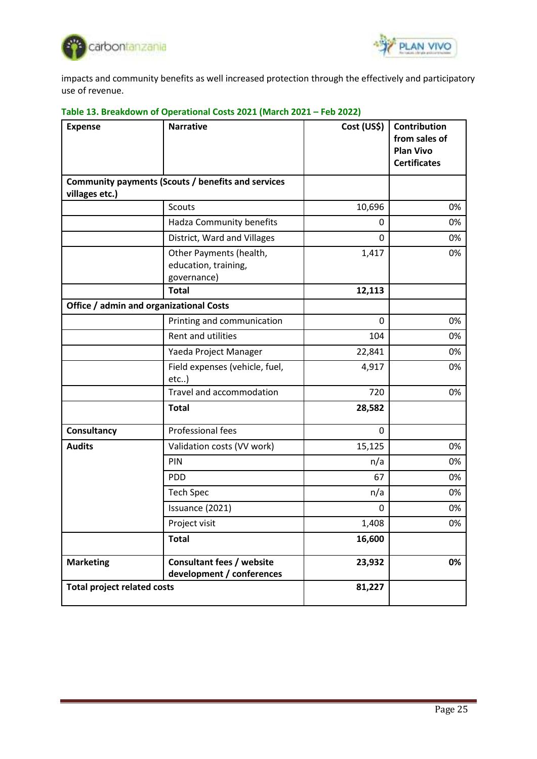



impacts and community benefits as well increased protection through the effectively and participatory use of revenue.

| <b>Expense</b>                          | <b>Narrative</b>                                               | Cost (US\$)  | Contribution<br>from sales of<br><b>Plan Vivo</b><br><b>Certificates</b> |
|-----------------------------------------|----------------------------------------------------------------|--------------|--------------------------------------------------------------------------|
| villages etc.)                          | Community payments (Scouts / benefits and services             |              |                                                                          |
|                                         | <b>Scouts</b>                                                  | 10,696       | 0%                                                                       |
|                                         | Hadza Community benefits                                       | 0            | 0%                                                                       |
|                                         | District, Ward and Villages                                    | $\mathbf{0}$ | 0%                                                                       |
|                                         | Other Payments (health,<br>education, training,<br>governance) | 1,417        | 0%                                                                       |
|                                         | <b>Total</b>                                                   | 12,113       |                                                                          |
| Office / admin and organizational Costs |                                                                |              |                                                                          |
|                                         | Printing and communication                                     | 0            | 0%                                                                       |
|                                         | Rent and utilities                                             | 104          | 0%                                                                       |
|                                         | Yaeda Project Manager                                          | 22,841       | 0%                                                                       |
|                                         | Field expenses (vehicle, fuel,<br>$etc.$ )                     | 4,917        | 0%                                                                       |
|                                         | Travel and accommodation                                       | 720          | 0%                                                                       |
|                                         | <b>Total</b>                                                   | 28,582       |                                                                          |
| Consultancy                             | Professional fees                                              | $\mathbf 0$  |                                                                          |
| <b>Audits</b>                           | Validation costs (VV work)                                     | 15,125       | 0%                                                                       |
|                                         | PIN                                                            | n/a          | 0%                                                                       |
|                                         | <b>PDD</b>                                                     | 67           | 0%                                                                       |
|                                         | <b>Tech Spec</b>                                               | n/a          | 0%                                                                       |
|                                         | Issuance (2021)                                                | 0            | 0%                                                                       |
|                                         | Project visit                                                  | 1,408        | 0%                                                                       |
|                                         | <b>Total</b>                                                   | 16,600       |                                                                          |
| <b>Marketing</b>                        | <b>Consultant fees / website</b><br>development / conferences  | 23,932       | 0%                                                                       |
| <b>Total project related costs</b>      |                                                                | 81,227       |                                                                          |

# <span id="page-24-0"></span>**Table 13. Breakdown of Operational Costs 2021 (March 2021 – Feb 2022)**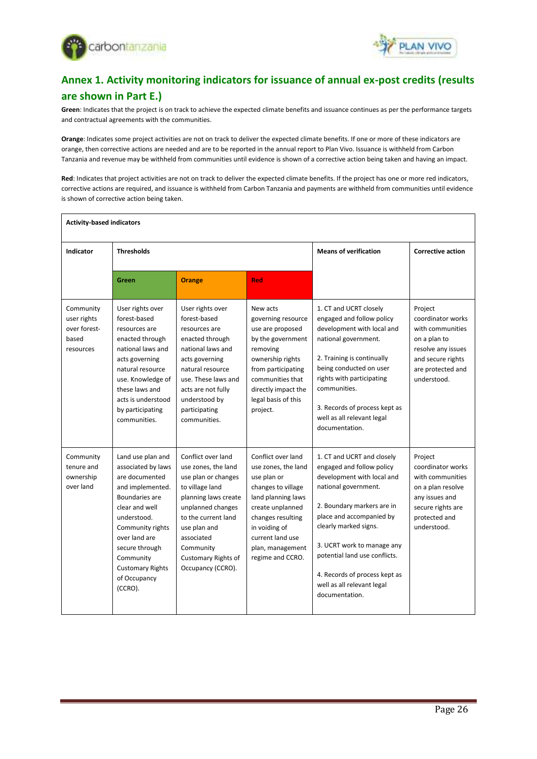



# <span id="page-25-0"></span>**Annex 1. Activity monitoring indicators for issuance of annual ex-post credits (results are shown in Part E.)**

**Green**: Indicates that the project is on track to achieve the expected climate benefits and issuance continues as per the performance targets and contractual agreements with the communities.

**Orange**: Indicates some project activities are not on track to deliver the expected climate benefits. If one or more of these indicators are orange, then corrective actions are needed and are to be reported in the annual report to Plan Vivo. Issuance is withheld from Carbon Tanzania and revenue may be withheld from communities until evidence is shown of a corrective action being taken and having an impact.

**Red**: Indicates that project activities are not on track to deliver the expected climate benefits. If the project has one or more red indicators, corrective actions are required, and issuance is withheld from Carbon Tanzania and payments are withheld from communities until evidence is shown of corrective action being taken.

| <b>Activity-based indicators</b>                               |                                                                                                                                                                                                                                                            |                                                                                                                                                                                                                                                |                                                                                                                                                                                                                            |                                                                                                                                                                                                                                                                                                                                                  |                                                                                                                                                 |  |
|----------------------------------------------------------------|------------------------------------------------------------------------------------------------------------------------------------------------------------------------------------------------------------------------------------------------------------|------------------------------------------------------------------------------------------------------------------------------------------------------------------------------------------------------------------------------------------------|----------------------------------------------------------------------------------------------------------------------------------------------------------------------------------------------------------------------------|--------------------------------------------------------------------------------------------------------------------------------------------------------------------------------------------------------------------------------------------------------------------------------------------------------------------------------------------------|-------------------------------------------------------------------------------------------------------------------------------------------------|--|
| Indicator                                                      | <b>Thresholds</b>                                                                                                                                                                                                                                          |                                                                                                                                                                                                                                                |                                                                                                                                                                                                                            | <b>Means of verification</b>                                                                                                                                                                                                                                                                                                                     | <b>Corrective action</b>                                                                                                                        |  |
|                                                                | Green                                                                                                                                                                                                                                                      | <b>Orange</b>                                                                                                                                                                                                                                  | <b>Red</b>                                                                                                                                                                                                                 |                                                                                                                                                                                                                                                                                                                                                  |                                                                                                                                                 |  |
| Community<br>user rights<br>over forest-<br>based<br>resources | User rights over<br>forest-based<br>resources are<br>enacted through<br>national laws and<br>acts governing<br>natural resource<br>use. Knowledge of<br>these laws and<br>acts is understood<br>by participating<br>communities.                           | User rights over<br>forest-based<br>resources are<br>enacted through<br>national laws and<br>acts governing<br>natural resource<br>use. These laws and<br>acts are not fully<br>understood by<br>participating<br>communities.                 | New acts<br>governing resource<br>use are proposed<br>by the government<br>removing<br>ownership rights<br>from participating<br>communities that<br>directly impact the<br>legal basis of this<br>project.                | 1. CT and UCRT closely<br>engaged and follow policy<br>development with local and<br>national government.<br>2. Training is continually<br>being conducted on user<br>rights with participating<br>communities.<br>3. Records of process kept as<br>well as all relevant legal<br>documentation.                                                 | Project<br>coordinator works<br>with communities<br>on a plan to<br>resolve any issues<br>and secure rights<br>are protected and<br>understood. |  |
| Community<br>tenure and<br>ownership<br>over land              | Land use plan and<br>associated by laws<br>are documented<br>and implemented.<br>Boundaries are<br>clear and well<br>understood.<br>Community rights<br>over land are<br>secure through<br>Community<br><b>Customary Rights</b><br>of Occupancy<br>(CCRO). | Conflict over land<br>use zones, the land<br>use plan or changes<br>to village land<br>planning laws create<br>unplanned changes<br>to the current land<br>use plan and<br>associated<br>Community<br>Customary Rights of<br>Occupancy (CCRO). | Conflict over land<br>use zones, the land<br>use plan or<br>changes to village<br>land planning laws<br>create unplanned<br>changes resulting<br>in voiding of<br>current land use<br>plan, management<br>regime and CCRO. | 1. CT and UCRT and closely<br>engaged and follow policy<br>development with local and<br>national government.<br>2. Boundary markers are in<br>place and accompanied by<br>clearly marked signs.<br>3. UCRT work to manage any<br>potential land use conflicts.<br>4. Records of process kept as<br>well as all relevant legal<br>documentation. | Project<br>coordinator works<br>with communities<br>on a plan resolve<br>any issues and<br>secure rights are<br>protected and<br>understood.    |  |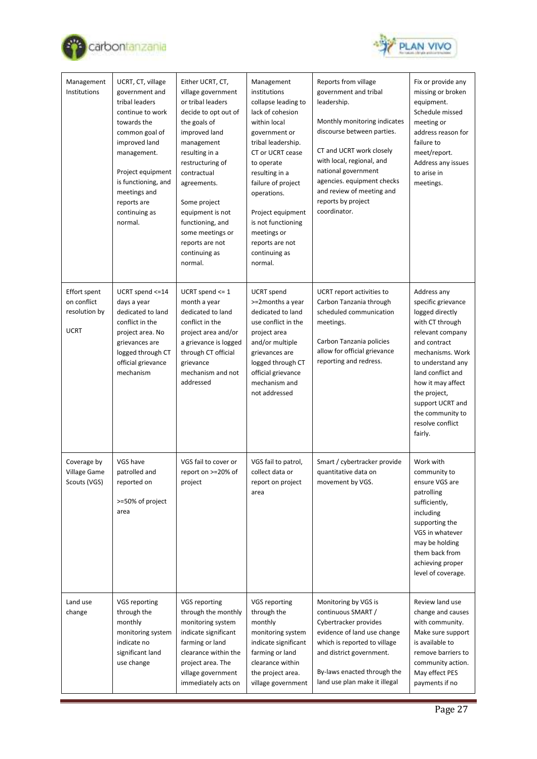



| Management<br>Institutions                                         | UCRT, CT, village<br>government and<br>tribal leaders<br>continue to work<br>towards the<br>common goal of<br>improved land<br>management.<br>Project equipment<br>is functioning, and<br>meetings and<br>reports are<br>continuing as<br>normal. | Either UCRT, CT,<br>village government<br>or tribal leaders<br>decide to opt out of<br>the goals of<br>improved land<br>management<br>resulting in a<br>restructuring of<br>contractual<br>agreements.<br>Some project<br>equipment is not<br>functioning, and<br>some meetings or<br>reports are not<br>continuing as<br>normal. | Management<br>institutions<br>collapse leading to<br>lack of cohesion<br>within local<br>government or<br>tribal leadership.<br>CT or UCRT cease<br>to operate<br>resulting in a<br>failure of project<br>operations.<br>Project equipment<br>is not functioning<br>meetings or<br>reports are not<br>continuing as<br>normal. | Reports from village<br>government and tribal<br>leadership.<br>Monthly monitoring indicates<br>discourse between parties.<br>CT and UCRT work closely<br>with local, regional, and<br>national government<br>agencies. equipment checks<br>and review of meeting and<br>reports by project<br>coordinator. | Fix or provide any<br>missing or broken<br>equipment.<br>Schedule missed<br>meeting or<br>address reason for<br>failure to<br>meet/report.<br>Address any issues<br>to arise in<br>meetings.                                                                                          |
|--------------------------------------------------------------------|---------------------------------------------------------------------------------------------------------------------------------------------------------------------------------------------------------------------------------------------------|-----------------------------------------------------------------------------------------------------------------------------------------------------------------------------------------------------------------------------------------------------------------------------------------------------------------------------------|--------------------------------------------------------------------------------------------------------------------------------------------------------------------------------------------------------------------------------------------------------------------------------------------------------------------------------|-------------------------------------------------------------------------------------------------------------------------------------------------------------------------------------------------------------------------------------------------------------------------------------------------------------|---------------------------------------------------------------------------------------------------------------------------------------------------------------------------------------------------------------------------------------------------------------------------------------|
| <b>Effort spent</b><br>on conflict<br>resolution by<br><b>UCRT</b> | UCRT spend <= 14<br>days a year<br>dedicated to land<br>conflict in the<br>project area. No<br>grievances are<br>logged through CT<br>official grievance<br>mechanism                                                                             | UCRT spend $<= 1$<br>month a year<br>dedicated to land<br>conflict in the<br>project area and/or<br>a grievance is logged<br>through CT official<br>grievance<br>mechanism and not<br>addressed                                                                                                                                   | <b>UCRT</b> spend<br>>=2months a year<br>dedicated to land<br>use conflict in the<br>project area<br>and/or multiple<br>grievances are<br>logged through CT<br>official grievance<br>mechanism and<br>not addressed                                                                                                            | UCRT report activities to<br>Carbon Tanzania through<br>scheduled communication<br>meetings.<br>Carbon Tanzania policies<br>allow for official grievance<br>reporting and redress.                                                                                                                          | Address any<br>specific grievance<br>logged directly<br>with CT through<br>relevant company<br>and contract<br>mechanisms. Work<br>to understand any<br>land conflict and<br>how it may affect<br>the project,<br>support UCRT and<br>the community to<br>resolve conflict<br>fairly. |
| Coverage by<br>Village Game<br>Scouts (VGS)                        | VGS have<br>patrolled and<br>reported on<br>>=50% of project<br>area                                                                                                                                                                              | VGS fail to cover or<br>report on >=20% of<br>project                                                                                                                                                                                                                                                                             | VGS fail to patrol,<br>collect data or<br>report on project<br>area                                                                                                                                                                                                                                                            | Smart / cybertracker provide<br>quantitative data on<br>movement by VGS.                                                                                                                                                                                                                                    | Work with<br>community to<br>ensure VGS are<br>patrolling<br>sufficiently,<br>including<br>supporting the<br>VGS in whatever<br>may be holding<br>them back from<br>achieving proper<br>level of coverage.                                                                            |
| Land use<br>change                                                 | VGS reporting<br>through the<br>monthly<br>monitoring system<br>indicate no<br>significant land<br>use change                                                                                                                                     | VGS reporting<br>through the monthly<br>monitoring system<br>indicate significant<br>farming or land<br>clearance within the<br>project area. The<br>village government<br>immediately acts on                                                                                                                                    | VGS reporting<br>through the<br>monthly<br>monitoring system<br>indicate significant<br>farming or land<br>clearance within<br>the project area.<br>village government                                                                                                                                                         | Monitoring by VGS is<br>continuous SMART /<br>Cybertracker provides<br>evidence of land use change<br>which is reported to village<br>and district government.<br>By-laws enacted through the<br>land use plan make it illegal                                                                              | Review land use<br>change and causes<br>with community.<br>Make sure support<br>is available to<br>remove barriers to<br>community action.<br>May effect PES<br>payments if no                                                                                                        |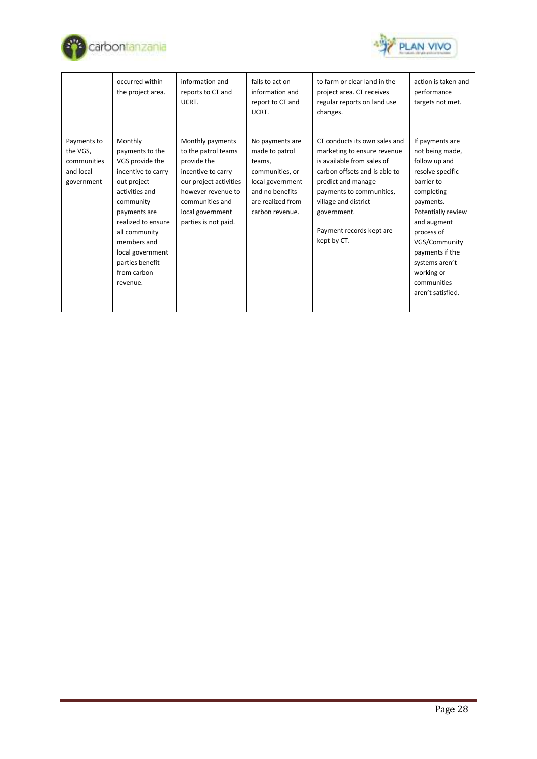



|                                                                   | occurred within<br>the project area.                                                                                                                                                                                                                      | information and<br>reports to CT and<br>UCRT.                                                                                                                                               | fails to act on<br>information and<br>report to CT and<br>UCRT.                                                                               | to farm or clear land in the<br>project area. CT receives<br>regular reports on land use<br>changes.                                                                                                                                                            | action is taken and<br>performance<br>targets not met.                                                                                                                                                                                                                      |
|-------------------------------------------------------------------|-----------------------------------------------------------------------------------------------------------------------------------------------------------------------------------------------------------------------------------------------------------|---------------------------------------------------------------------------------------------------------------------------------------------------------------------------------------------|-----------------------------------------------------------------------------------------------------------------------------------------------|-----------------------------------------------------------------------------------------------------------------------------------------------------------------------------------------------------------------------------------------------------------------|-----------------------------------------------------------------------------------------------------------------------------------------------------------------------------------------------------------------------------------------------------------------------------|
| Payments to<br>the VGS,<br>communities<br>and local<br>government | Monthly<br>payments to the<br>VGS provide the<br>incentive to carry<br>out project<br>activities and<br>community<br>payments are<br>realized to ensure<br>all community<br>members and<br>local government<br>parties benefit<br>from carbon<br>revenue. | Monthly payments<br>to the patrol teams<br>provide the<br>incentive to carry<br>our project activities<br>however revenue to<br>communities and<br>local government<br>parties is not paid. | No payments are<br>made to patrol<br>teams,<br>communities, or<br>local government<br>and no benefits<br>are realized from<br>carbon revenue. | CT conducts its own sales and<br>marketing to ensure revenue<br>is available from sales of<br>carbon offsets and is able to<br>predict and manage<br>payments to communities,<br>village and district<br>government.<br>Payment records kept are<br>kept by CT. | If payments are<br>not being made,<br>follow up and<br>resolve specific<br>barrier to<br>completing<br>payments.<br>Potentially review<br>and augment<br>process of<br>VGS/Community<br>payments if the<br>systems aren't<br>working or<br>communities<br>aren't satisfied. |